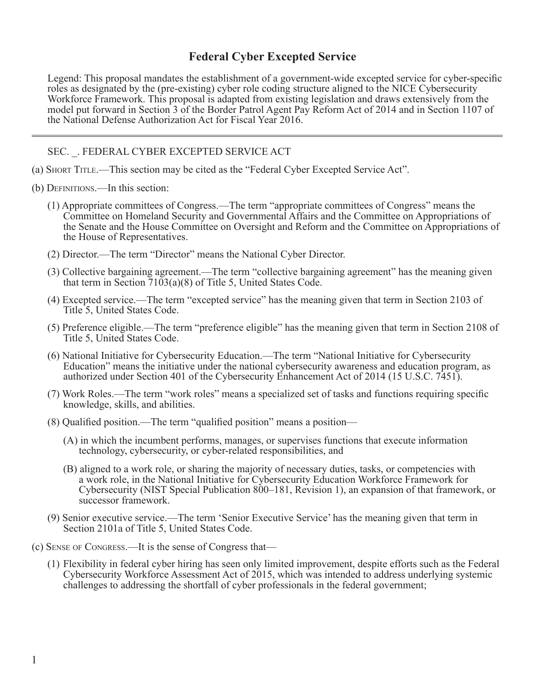## **Federal Cyber Excepted Service**

Legend: This proposal mandates the establishment of a government-wide excepted service for cyber-specific roles as designated by the (pre-existing) cyber role coding structure aligned to the NICE Cybersecurity Workforce Framework. This proposal is adapted from existing legislation and draws extensively from the model put forward in Section 3 of the Border Patrol Agent Pay Reform Act of 2014 and in Section 1107 of the National Defense Authorization Act for Fiscal Year 2016.

SEC. \_. FEDERAL CYBER EXCEPTED SERVICE ACT

- (a) Short Title.—This section may be cited as the "Federal Cyber Excepted Service Act".
- (b) Definitions.—In this section:
	- (1) Appropriate committees of Congress.—The term "appropriate committees of Congress" means the Committee on Homeland Security and Governmental Affairs and the Committee on Appropriations of the Senate and the House Committee on Oversight and Reform and the Committee on Appropriations of the House of Representatives.
	- (2) Director.—The term "Director" means the National Cyber Director.
	- (3) Collective bargaining agreement.—The term "collective bargaining agreement" has the meaning given that term in Section 7103(a)(8) of Title 5, United States Code.
	- (4) Excepted service.—The term "excepted service" has the meaning given that term in Section 2103 of Title 5, United States Code.
	- (5) Preference eligible.—The term "preference eligible" has the meaning given that term in Section 2108 of Title 5, United States Code.
	- (6) National Initiative for Cybersecurity Education.—The term "National Initiative for Cybersecurity Education" means the initiative under the national cybersecurity awareness and education program, as authorized under Section 401 of the Cybersecurity Enhancement Act of 2014 (15 U.S.C. 7451).
	- (7) Work Roles.—The term "work roles" means a specialized set of tasks and functions requiring specific knowledge, skills, and abilities.
	- (8) Qualified position.—The term "qualified position" means a position—
		- (A) in which the incumbent performs, manages, or supervises functions that execute information technology, cybersecurity, or cyber-related responsibilities, and
		- (B) aligned to a work role, or sharing the majority of necessary duties, tasks, or competencies with a work role, in the National Initiative for Cybersecurity Education Workforce Framework for Cybersecurity (NIST Special Publication 800–181, Revision 1), an expansion of that framework, or successor framework.
	- (9) Senior executive service.—The term 'Senior Executive Service' has the meaning given that term in Section 2101a of Title 5, United States Code.
- (c) Sense of Congress.—It is the sense of Congress that—
	- (1) Flexibility in federal cyber hiring has seen only limited improvement, despite efforts such as the Federal Cybersecurity Workforce Assessment Act of 2015, which was intended to address underlying systemic challenges to addressing the shortfall of cyber professionals in the federal government;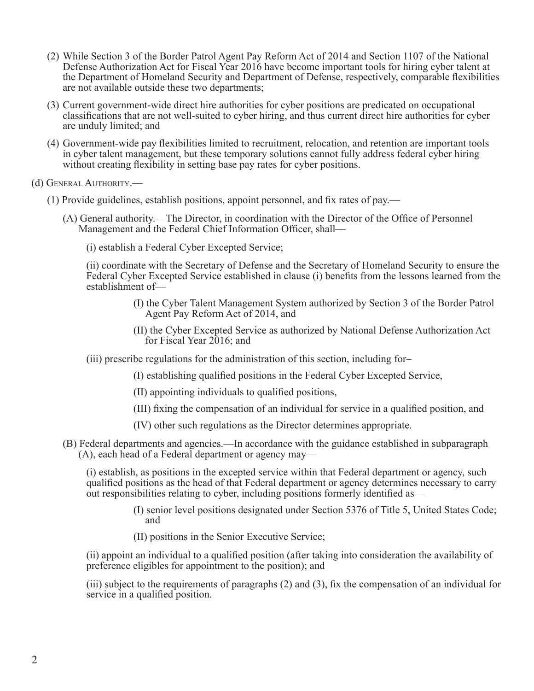- (2) While Section 3 of the Border Patrol Agent Pay Reform Act of 2014 and Section 1107 of the National Defense Authorization Act for Fiscal Year 2016 have become important tools for hiring cyber talent at the Department of Homeland Security and Department of Defense, respectively, comparable flexibilities are not available outside these two departments;
- (3) Current government-wide direct hire authorities for cyber positions are predicated on occupational classifications that are not well-suited to cyber hiring, and thus current direct hire authorities for cyber are unduly limited; and
- (4) Government-wide pay flexibilities limited to recruitment, relocation, and retention are important tools in cyber talent management, but these temporary solutions cannot fully address federal cyber hiring without creating flexibility in setting base pay rates for cyber positions.
- (d) General Authority.—
	- (1) Provide guidelines, establish positions, appoint personnel, and fix rates of pay.—
		- (A) General authority.—The Director, in coordination with the Director of the Office of Personnel Management and the Federal Chief Information Officer, shall—
			- (i) establish a Federal Cyber Excepted Service;

(ii) coordinate with the Secretary of Defense and the Secretary of Homeland Security to ensure the Federal Cyber Excepted Service established in clause (i) benefits from the lessons learned from the establishment of—

- (I) the Cyber Talent Management System authorized by Section 3 of the Border Patrol Agent Pay Reform Act of 2014, and
- (II) the Cyber Excepted Service as authorized by National Defense Authorization Act for Fiscal Year 2016; and
- (iii) prescribe regulations for the administration of this section, including for–
	- (I) establishing qualified positions in the Federal Cyber Excepted Service,
	- (II) appointing individuals to qualified positions,
	- (III) fixing the compensation of an individual for service in a qualified position, and
	- (IV) other such regulations as the Director determines appropriate.
- (B) Federal departments and agencies.—In accordance with the guidance established in subparagraph (A), each head of a Federal department or agency may—

(i) establish, as positions in the excepted service within that Federal department or agency, such qualified positions as the head of that Federal department or agency determines necessary to carry out responsibilities relating to cyber, including positions formerly identified as—

- (I) senior level positions designated under Section 5376 of Title 5, United States Code; and
- (II) positions in the Senior Executive Service;

(ii) appoint an individual to a qualified position (after taking into consideration the availability of preference eligibles for appointment to the position); and

(iii) subject to the requirements of paragraphs (2) and (3), fix the compensation of an individual for service in a qualified position.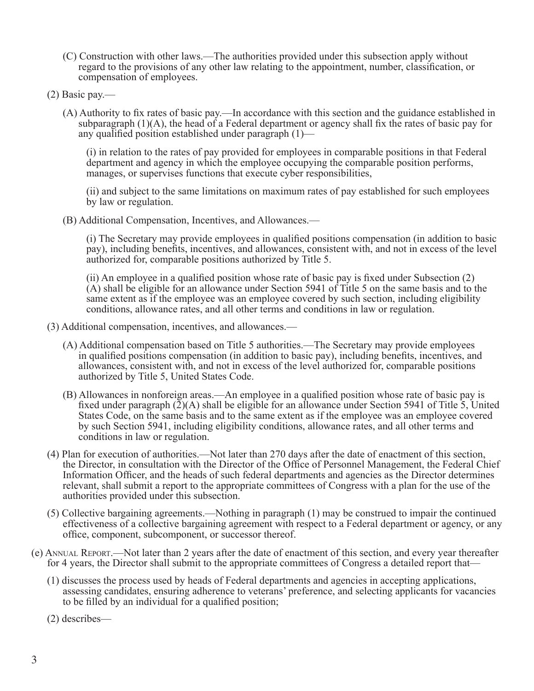- (C) Construction with other laws.—The authorities provided under this subsection apply without regard to the provisions of any other law relating to the appointment, number, classification, or compensation of employees.
- (2) Basic pay.—
	- (A) Authority to fix rates of basic pay.—In accordance with this section and the guidance established in subparagraph  $(1)(A)$ , the head of a Federal department or agency shall fix the rates of basic pay for any qualified position established under paragraph (1)—

(i) in relation to the rates of pay provided for employees in comparable positions in that Federal department and agency in which the employee occupying the comparable position performs, manages, or supervises functions that execute cyber responsibilities,

(ii) and subject to the same limitations on maximum rates of pay established for such employees by law or regulation.

(B) Additional Compensation, Incentives, and Allowances.—

(i) The Secretary may provide employees in qualified positions compensation (in addition to basic pay), including benefits, incentives, and allowances, consistent with, and not in excess of the level authorized for, comparable positions authorized by Title 5.

(ii) An employee in a qualified position whose rate of basic pay is fixed under Subsection (2) (A) shall be eligible for an allowance under Section 5941 of Title 5 on the same basis and to the same extent as if the employee was an employee covered by such section, including eligibility conditions, allowance rates, and all other terms and conditions in law or regulation.

- (3) Additional compensation, incentives, and allowances.—
	- (A) Additional compensation based on Title 5 authorities.—The Secretary may provide employees in qualified positions compensation (in addition to basic pay), including benefits, incentives, and allowances, consistent with, and not in excess of the level authorized for, comparable positions authorized by Title 5, United States Code.
	- (B) Allowances in nonforeign areas.—An employee in a qualified position whose rate of basic pay is fixed under paragraph  $(\tilde{2})(A)$  shall be eligible for an allowance under Section 5941 of Title 5, United States Code, on the same basis and to the same extent as if the employee was an employee covered by such Section 5941, including eligibility conditions, allowance rates, and all other terms and conditions in law or regulation.
- (4) Plan for execution of authorities.—Not later than 270 days after the date of enactment of this section, the Director, in consultation with the Director of the Office of Personnel Management, the Federal Chief Information Officer, and the heads of such federal departments and agencies as the Director determines relevant, shall submit a report to the appropriate committees of Congress with a plan for the use of the authorities provided under this subsection.
- (5) Collective bargaining agreements.—Nothing in paragraph (1) may be construed to impair the continued effectiveness of a collective bargaining agreement with respect to a Federal department or agency, or any office, component, subcomponent, or successor thereof.
- (e) Annual Report.—Not later than 2 years after the date of enactment of this section, and every year thereafter for 4 years, the Director shall submit to the appropriate committees of Congress a detailed report that—
	- (1) discusses the process used by heads of Federal departments and agencies in accepting applications, assessing candidates, ensuring adherence to veterans' preference, and selecting applicants for vacancies to be filled by an individual for a qualified position;

(2) describes—